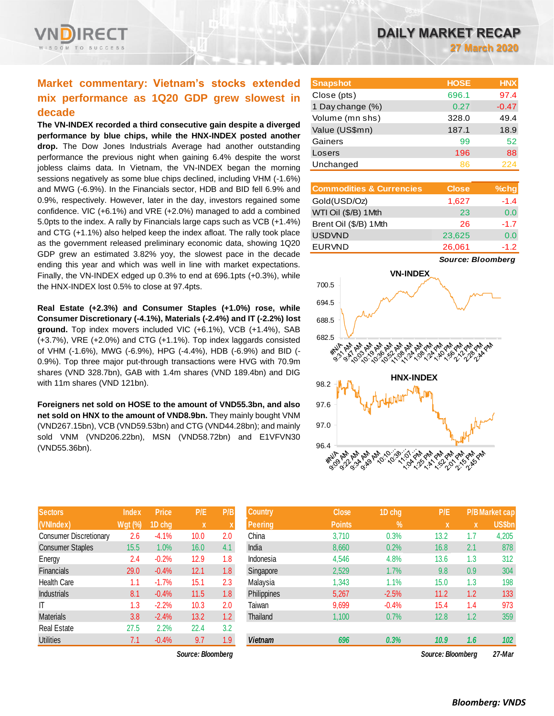

# **Market commentary: Vietnam's stocks extended mix performance as 1Q20 GDP grew slowest in decade**

**The VN-INDEX recorded a third consecutive gain despite a diverged performance by blue chips, while the HNX-INDEX posted another drop.** The Dow Jones Industrials Average had another outstanding performance the previous night when gaining 6.4% despite the worst jobless claims data. In Vietnam, the VN-INDEX began the morning sessions negatively as some blue chips declined, including VHM (-1.6%) and MWG (-6.9%). In the Financials sector, HDB and BID fell 6.9% and 0.9%, respectively. However, later in the day, investors regained some confidence. VIC (+6.1%) and VRE (+2.0%) managed to add a combined 5.0pts to the index. A rally by Financials large caps such as VCB (+1.4%) and CTG (+1.1%) also helped keep the index afloat. The rally took place as the government released preliminary economic data, showing 1Q20 GDP grew an estimated 3.82% yoy, the slowest pace in the decade ending this year and which was well in line with market expectations. Finally, the VN-INDEX edged up 0.3% to end at 696.1pts (+0.3%), while the HNX-INDEX lost 0.5% to close at 97.4pts.

**Real Estate (+2.3%) and Consumer Staples (+1.0%) rose, while Consumer Discretionary (-4.1%), Materials (-2.4%) and IT (-2.2%) lost ground.** Top index movers included VIC (+6.1%), VCB (+1.4%), SAB (+3.7%), VRE (+2.0%) and CTG (+1.1%). Top index laggards consisted of VHM (-1.6%), MWG (-6.9%), HPG (-4.4%), HDB (-6.9%) and BID (- 0.9%). Top three major put-through transactions were HVG with 70.9m shares (VND 328.7bn), GAB with 1.4m shares (VND 189.4bn) and DIG with 11m shares (VND 121bn).

**Foreigners net sold on HOSE to the amount of VND55.3bn, and also net sold on HNX to the amount of VND8.9bn.** They mainly bought VNM (VND267.15bn), VCB (VND59.53bn) and CTG (VND44.28bn); and mainly sold VNM (VND206.22bn), MSN (VND58.72bn) and E1VFVN30 (VND55.36bn).

| <b>Sectors</b>                | <b>Index</b>   | <b>Price</b> | P/E  | P/B              |
|-------------------------------|----------------|--------------|------|------------------|
| (VNIndex)                     | <u>Wgt (%)</u> | 1D chg       | X    | X                |
| <b>Consumer Discretionary</b> | 2.6            | $-4.1%$      | 10.0 | 2.0              |
| <b>Consumer Staples</b>       | 15.5           | 1.0%         | 16.0 | 4.1              |
| Energy                        | 2.4            | $-0.2%$      | 12.9 | 1.8              |
| <b>Financials</b>             | 29.0           | $-0.4%$      | 12.1 | 1.8              |
| <b>Health Care</b>            | 1.1            | $-1.7%$      | 15.1 | 2.3              |
| <b>Industrials</b>            | 8.1            | $-0.4%$      | 11.5 | 1.8              |
| IT                            | 1.3            | $-2.2%$      | 10.3 | 2.0              |
| <b>Materials</b>              | 3.8            | $-2.4%$      | 13.2 | 1.2 <sub>2</sub> |
| <b>Real Estate</b>            | 27.5           | 2.2%         | 22.4 | 3.2              |
| <b>Utilities</b>              | 7.1            | $-0.4%$      | 9.7  | 1.9              |

*Source: Bloomberg Source: Bloomberg 27-Mar*

| <b>Snapshot</b>  | <b>HOSE</b> | <b>HNX</b> |
|------------------|-------------|------------|
| Close (pts)      | 696.1       | 97.4       |
| 1 Day change (%) | 0.27        | $-0.47$    |
| Volume (mn shs)  | 328.0       | 49.4       |
| Value (US\$mn)   | 187.1       | 18.9       |
| Gainers          | 99          | 52         |
| Losers           | 196         | 88         |
| Unchanged        | 86          | 224        |

| <b>Commodities &amp; Currencies</b> | <b>Close</b> | $%$ chg |
|-------------------------------------|--------------|---------|
| Gold(USD/Oz)                        | 1,627        | $-1.4$  |
| WTI Oil (\$/B) 1Mth                 | 23           | 0.0     |
| Brent Oil (\$/B) 1Mth               | 26           | $-1.7$  |
| <b>USDVND</b>                       | 23,625       | 0.0     |
| <b>EURVND</b>                       | 26,061       | $-1.2$  |

*Source: Bloomberg*



| <b>Sectors</b>          | <b>Index</b>   | <b>Price</b> | P/E               | P/B              | <b>Country</b> | <b>Close</b>  | 1D chg     | P/E               |     | P/B Market cap |
|-------------------------|----------------|--------------|-------------------|------------------|----------------|---------------|------------|-------------------|-----|----------------|
| (VNIndex)               | <b>Wgt (%)</b> | 1D chg       | X                 |                  | <b>Peering</b> | <b>Points</b> | $\sqrt{2}$ | <b>X</b>          | ιXί | <b>US\$bn</b>  |
| Consumer Discretionary  | 2.6            | $-4.1%$      | 10.0              | 2.0              | China          | 3,710         | 0.3%       | 13.2              | 1.7 | 4,205          |
| <b>Consumer Staples</b> | 15.5           | 1.0%         | 16.0              | 4.1              | India          | 8,660         | 0.2%       | 16.8              | 2.1 | 878            |
| Energy                  | 2.4            | $-0.2%$      | 12.9              | 1.8              | Indonesia      | 4,546         | 4.8%       | 13.6              | 1.3 | 312            |
| Financials              | 29.0           | $-0.4%$      | 12.1              | 1.8 <sup>°</sup> | Singapore      | 2,529         | 1.7%       | 9.8               | 0.9 | 304            |
| Health Care             | 1.1            | $-1.7%$      | 15.1              | 2.3              | Malaysia       | 1,343         | 1.1%       | 15.0              | 1.3 | 198            |
| <b>Industrials</b>      | 8.1            | $-0.4%$      | 11.5              | 1.8              | Philippines    | 5,267         | $-2.5%$    | 11.2              | 1.2 | 133            |
| ΙT                      | 1.3            | $-2.2%$      | 10.3              | 2.0              | Taiwan         | 9,699         | $-0.4%$    | 15.4              | 1.4 | 973            |
| Materials               | 3.8            | $-2.4%$      | 13.2              | 1.2 <sub>2</sub> | Thailand       | 1,100         | 0.7%       | 12.8              | 1.2 | 359            |
| Real Estate             | 27.5           | 2.2%         | 22.4              | 3.2              |                |               |            |                   |     |                |
| <b>Utilities</b>        | 7.1            | $-0.4%$      | 9.7               | 1.9              | <b>Vietnam</b> | 696           | 0.3%       | 10.9              | 1.6 | 102            |
|                         |                |              | Source: Bloomberg |                  |                |               |            | Source: Bloombera |     | 27-Mar         |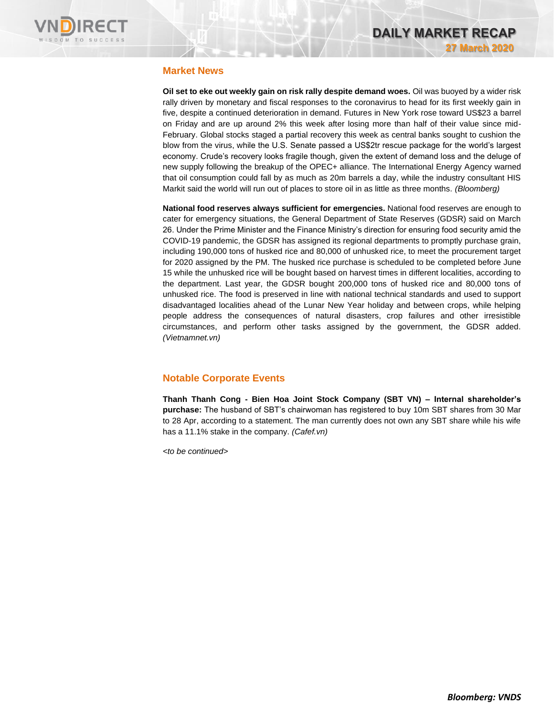

## **Market News**

**Oil set to eke out weekly gain on risk rally despite demand woes.** Oil was buoyed by a wider risk rally driven by monetary and fiscal responses to the coronavirus to head for its first weekly gain in five, despite a continued deterioration in demand. Futures in New York rose toward US\$23 a barrel on Friday and are up around 2% this week after losing more than half of their value since mid-February. Global stocks staged a partial recovery this week as central banks sought to cushion the blow from the virus, while the U.S. Senate passed a US\$2tr rescue package for the world's largest economy. Crude's recovery looks fragile though, given the extent of demand loss and the deluge of new supply following the breakup of the OPEC+ alliance. The International Energy Agency warned that oil consumption could fall by as much as 20m barrels a day, while the industry consultant HIS Markit said the world will run out of places to store oil in as little as three months. *(Bloomberg)*

**National food reserves always sufficient for emergencies.** National food reserves are enough to cater for emergency situations, the General Department of State Reserves (GDSR) said on March 26. Under the Prime Minister and the Finance Ministry's direction for ensuring food security amid the COVID-19 pandemic, the GDSR has assigned its regional departments to promptly purchase grain, including 190,000 tons of husked rice and 80,000 of unhusked rice, to meet the procurement target for 2020 assigned by the PM. The husked rice purchase is scheduled to be completed before June 15 while the unhusked rice will be bought based on harvest times in different localities, according to the department. Last year, the GDSR bought 200,000 tons of husked rice and 80,000 tons of unhusked rice. The food is preserved in line with national technical standards and used to support disadvantaged localities ahead of the Lunar New Year holiday and between crops, while helping people address the consequences of natural disasters, crop failures and other irresistible circumstances, and perform other tasks assigned by the government, the GDSR added. *(Vietnamnet.vn)*

# **Notable Corporate Events**

**Thanh Thanh Cong - Bien Hoa Joint Stock Company (SBT VN) – Internal shareholder's purchase:** The husband of SBT's chairwoman has registered to buy 10m SBT shares from 30 Mar to 28 Apr, according to a statement. The man currently does not own any SBT share while his wife has a 11.1% stake in the company. *(Cafef.vn)*

*<to be continued>*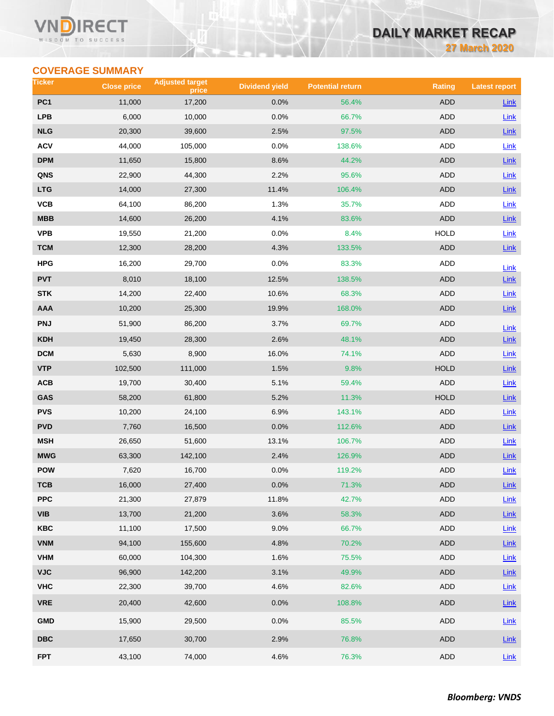#### Vľ ECT WISDOM TO SUCCESS

# **DAILY MARKET RECAP**

**27 March 2020**

# **COVERAGE SUMMARY**

| Ticker                  | <b>Close price</b> | <b>Adjusted target</b><br>price | <b>Dividend yield</b> | <b>Potential return</b> | <b>Rating</b> | <b>Latest report</b> |
|-------------------------|--------------------|---------------------------------|-----------------------|-------------------------|---------------|----------------------|
| PC <sub>1</sub>         | 11,000             | 17,200                          | 0.0%                  | 56.4%                   | <b>ADD</b>    | <b>Link</b>          |
| <b>LPB</b>              | 6,000              | 10,000                          | 0.0%                  | 66.7%                   | <b>ADD</b>    | Link                 |
| <b>NLG</b>              | 20,300             | 39,600                          | 2.5%                  | 97.5%                   | ADD           | Link                 |
| <b>ACV</b>              | 44,000             | 105,000                         | 0.0%                  | 138.6%                  | ADD           | <b>Link</b>          |
| <b>DPM</b>              | 11,650             | 15,800                          | 8.6%                  | 44.2%                   | <b>ADD</b>    | Link                 |
| QNS                     | 22,900             | 44,300                          | 2.2%                  | 95.6%                   | ADD           | Link                 |
| <b>LTG</b>              | 14,000             | 27,300                          | 11.4%                 | 106.4%                  | <b>ADD</b>    | $Link$               |
| VCB                     | 64,100             | 86,200                          | 1.3%                  | 35.7%                   | ADD           | Link                 |
| <b>MBB</b>              | 14,600             | 26,200                          | 4.1%                  | 83.6%                   | <b>ADD</b>    | $Link$               |
| <b>VPB</b>              | 19,550             | 21,200                          | 0.0%                  | 8.4%                    | <b>HOLD</b>   | Link                 |
| <b>TCM</b>              | 12,300             | 28,200                          | 4.3%                  | 133.5%                  | ADD           | Link                 |
| <b>HPG</b>              | 16,200             | 29,700                          | 0.0%                  | 83.3%                   | ADD           | Link                 |
| <b>PVT</b>              | 8,010              | 18,100                          | 12.5%                 | 138.5%                  | <b>ADD</b>    | Link                 |
| <b>STK</b>              | 14,200             | 22,400                          | 10.6%                 | 68.3%                   | ADD           | Link                 |
| <b>AAA</b>              | 10,200             | 25,300                          | 19.9%                 | 168.0%                  | <b>ADD</b>    | Link                 |
| <b>PNJ</b>              | 51,900             | 86,200                          | 3.7%                  | 69.7%                   | ADD           | Link                 |
| <b>KDH</b>              | 19,450             | 28,300                          | 2.6%                  | 48.1%                   | <b>ADD</b>    | Link                 |
| <b>DCM</b>              | 5,630              | 8,900                           | 16.0%                 | 74.1%                   | <b>ADD</b>    | Link                 |
| <b>VTP</b>              | 102,500            | 111,000                         | 1.5%                  | 9.8%                    | <b>HOLD</b>   | Link                 |
| ACB                     | 19,700             | 30,400                          | 5.1%                  | 59.4%                   | ADD           | Link                 |
| GAS                     | 58,200             | 61,800                          | 5.2%                  | 11.3%                   | <b>HOLD</b>   | Link                 |
| <b>PVS</b>              | 10,200             | 24,100                          | 6.9%                  | 143.1%                  | <b>ADD</b>    | Link                 |
| <b>PVD</b>              | 7,760              | 16,500                          | 0.0%                  | 112.6%                  | ADD           | Link                 |
| <b>MSH</b>              | 26,650             | 51,600                          | 13.1%                 | 106.7%                  | ADD           | Link                 |
| <b>MWG</b>              | 63,300             | 142,100                         | 2.4%                  | 126.9%                  | <b>ADD</b>    | Link                 |
| <b>POW</b>              | 7,620              | 16,700                          | 0.0%                  | 119.2%                  | ADD           | Link                 |
| тсв                     | 16,000             | 27,400                          | 0.0%                  | 71.3%                   | ADD           | $Link$               |
| <b>PPC</b>              | 21,300             | 27,879                          | 11.8%                 | 42.7%                   | <b>ADD</b>    | Link                 |
| <b>VIB</b>              | 13,700             | 21,200                          | 3.6%                  | 58.3%                   | ADD           | $Link$               |
| <b>KBC</b>              | 11,100             | 17,500                          | 9.0%                  | 66.7%                   | ADD           | Link                 |
| <b>VNM</b>              | 94,100             | 155,600                         | 4.8%                  | 70.2%                   | <b>ADD</b>    | $Link$               |
| <b>VHM</b>              | 60,000             | 104,300                         | 1.6%                  | 75.5%                   | <b>ADD</b>    | Link                 |
| <b>VJC</b>              | 96,900             | 142,200                         | 3.1%                  | 49.9%                   | ADD           | $Link$               |
| <b>VHC</b>              | 22,300             | 39,700                          | 4.6%                  | 82.6%                   | ADD           | Link                 |
| <b>VRE</b>              | 20,400             | 42,600                          | 0.0%                  | 108.8%                  | ADD           | Link                 |
| <b>GMD</b>              | 15,900             | 29,500                          | 0.0%                  | 85.5%                   | ADD           | Link                 |
| $\overline{\text{DBC}}$ | 17,650             | 30,700                          | 2.9%                  | 76.8%                   | ADD           | Link                 |
| <b>FPT</b>              | 43,100             | 74,000                          | 4.6%                  | 76.3%                   | ADD           | Link                 |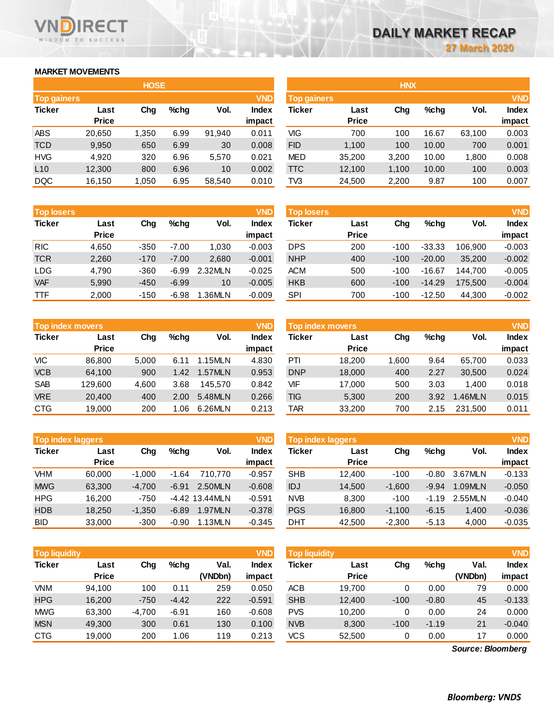# **MARKET MOVEMENTS**

WISDOM TO SUCCESS

**RECT** 

VND

|                    | <b>HOSE</b>  |       |      |        |              |  |  |  |  |  |  |  |  |
|--------------------|--------------|-------|------|--------|--------------|--|--|--|--|--|--|--|--|
| <b>Top gainers</b> |              |       |      |        | <b>VND</b>   |  |  |  |  |  |  |  |  |
| <b>Ticker</b>      | Last         |       | %chq | Vol.   | <b>Index</b> |  |  |  |  |  |  |  |  |
|                    | <b>Price</b> |       |      |        | impact       |  |  |  |  |  |  |  |  |
| <b>ABS</b>         | 20,650       | 1,350 | 6.99 | 91,940 | 0.011        |  |  |  |  |  |  |  |  |
| <b>TCD</b>         | 9,950        | 650   | 6.99 | 30     | 0.008        |  |  |  |  |  |  |  |  |
| <b>HVG</b>         | 4.920        | 320   | 6.96 | 5,570  | 0.021        |  |  |  |  |  |  |  |  |
| L10                | 12,300       | 800   | 6.96 | 10     | 0.002        |  |  |  |  |  |  |  |  |
| <b>DQC</b>         | 16,150       | 1,050 | 6.95 | 58,540 | 0.010        |  |  |  |  |  |  |  |  |

| <b>Top losers</b>     |              |        |         |         | <b>VND</b>   |
|-----------------------|--------------|--------|---------|---------|--------------|
| <b>Ticker</b><br>Last |              | Cha    | %chq    | Vol.    | <b>Index</b> |
|                       | <b>Price</b> |        |         |         | impact       |
| <b>RIC</b>            | 4,650        | $-350$ | $-7.00$ | 1,030   | $-0.003$     |
| <b>TCR</b>            | 2,260        | $-170$ | $-7.00$ | 2,680   | $-0.001$     |
| <b>LDG</b>            | 4,790        | $-360$ | $-6.99$ | 2.32MLN | $-0.025$     |
| <b>VAF</b>            | 5.990        | $-450$ | $-6.99$ | 10      | $-0.005$     |
| <b>TTF</b>            | 2,000        | $-150$ | $-6.98$ | 1.36MLN | $-0.009$     |

|               | <b>Top index movers</b> |       |      |         | <b>VND</b>   |
|---------------|-------------------------|-------|------|---------|--------------|
| <b>Ticker</b> | Last                    | Cha   | %chq | Vol.    | <b>Index</b> |
|               | <b>Price</b>            |       |      |         | impact       |
| VIC           | 86,800                  | 5,000 | 6.11 | 1.15MLN | 4.830        |
| <b>VCB</b>    | 64,100                  | 900   | 1.42 | 1.57MLN | 0.953        |
| <b>SAB</b>    | 129,600                 | 4,600 | 3.68 | 145.570 | 0.842        |
| <b>VRE</b>    | 20,400                  | 400   | 2.00 | 5.48MLN | 0.266        |
| <b>CTG</b>    | 19,000                  | 200   | 1.06 | 6.26MLN | 0.213        |

| <b>Top index laggers</b> |              |          |         |                  | <b>VND</b>   |
|--------------------------|--------------|----------|---------|------------------|--------------|
| <b>Ticker</b>            | Last         | Cha      | %chq    | Vol.             | <b>Index</b> |
|                          | <b>Price</b> |          |         |                  | impact       |
| <b>VHM</b>               | 60,000       | $-1,000$ | -1.64   | 710.770          | $-0.957$     |
| <b>MWG</b>               | 63,300       | $-4,700$ | $-6.91$ | 2.50MLN          | $-0.608$     |
| <b>HPG</b>               | 16,200       | $-750$   |         | $-4.42$ 13.44MLN | $-0.591$     |
| <b>HDB</b>               | 18,250       | $-1,350$ | $-6.89$ | 1.97MLN          | $-0.378$     |
| <b>BID</b>               | 33,000       | $-300$   | $-0.90$ | 1.13MLN          | $-0.345$     |

| <b>Top liquidity</b> |                      |          |         |                 | <b>VND</b>      | <b>Top liquidity</b> |                      |        |         |                 |                 |
|----------------------|----------------------|----------|---------|-----------------|-----------------|----------------------|----------------------|--------|---------|-----------------|-----------------|
| <b>Ticker</b>        | Last<br><b>Price</b> | Chg      | %chq    | Val.<br>(VNDbn) | Index<br>impact | Ticker               | Last<br><b>Price</b> | Chg    | %chq    | Val.<br>(VNDbn) | Index<br>impact |
| VNM                  | 94.100               | 100      | 0.11    | 259             | 0.050           | <b>ACB</b>           | 19,700               | 0      | 0.00    | 79              | 0.000           |
| <b>HPG</b>           | 16,200               | $-750$   | $-4.42$ | 222             | $-0.591$        | <b>SHB</b>           | 12,400               | $-100$ | $-0.80$ | 45              | $-0.133$        |
| <b>MWG</b>           | 63,300               | $-4,700$ | $-6.91$ | 160             | $-0.608$        | <b>PVS</b>           | 10,200               | 0      | 0.00    | 24              | 0.000           |
| <b>MSN</b>           | 49.300               | 300      | 0.61    | 130             | 0.100           | <b>NVB</b>           | 8,300                | $-100$ | $-1.19$ | 21              | $-0.040$        |
| <b>CTG</b>           | 19,000               | 200      | .06     | 119             | 0.213           | <b>VCS</b>           | 52,500               | 0      | 0.00    | 17              | 0.000           |

|                    |              | <b>HOSE</b> |         |        |              |                    |              | <b>HNX</b> |         |        |            |
|--------------------|--------------|-------------|---------|--------|--------------|--------------------|--------------|------------|---------|--------|------------|
| <b>Top gainers</b> |              |             |         |        | <b>VND</b>   | <b>Top gainers</b> |              |            |         |        | <b>VND</b> |
| Ticker             | Last         | Chg         | $%$ chg | Vol.   | <b>Index</b> | Ticker             | Last         | Chg        | $%$ chg | Vol.   | Index      |
|                    | <b>Price</b> |             |         |        | impact       |                    | <b>Price</b> |            |         |        | impact     |
| ABS                | 20,650       | 1,350       | 6.99    | 91,940 | 0.011        | VIG                | 700          | 100        | 16.67   | 63,100 | 0.003      |
| <b>TCD</b>         | 9,950        | 650         | 6.99    | 30     | 0.008        | <b>FID</b>         | 1.100        | 100        | 10.00   | 700    | 0.001      |
| HVG                | 4,920        | 320         | 6.96    | 5,570  | 0.021        | <b>MED</b>         | 35,200       | 3,200      | 10.00   | 1,800  | 0.008      |
| L10                | 12,300       | 800         | 6.96    | 10     | 0.002        | <b>TTC</b>         | 12,100       | 1,100      | 10.00   | 100    | 0.003      |
| DQC                | 16,150       | 1,050       | 6.95    | 58,540 | 0.010        | TV3                | 24,500       | 2,200      | 9.87    | 100    | 0.007      |
|                    |              |             |         |        |              |                    |              |            |         |        |            |

| <b>Top losers</b> |                      |        |         |         | <b>VND</b>             | <b>Top losers</b> |                      |        |          |         | <b>VND</b>             |
|-------------------|----------------------|--------|---------|---------|------------------------|-------------------|----------------------|--------|----------|---------|------------------------|
| Ticker            | Last<br><b>Price</b> | Chg    | $%$ chg | Vol.    | <b>Index</b><br>impact | Ticker            | Last<br><b>Price</b> | Chg    | $%$ chg  | Vol.    | <b>Index</b><br>impact |
| RIC               | 4.650                | $-350$ | $-7.00$ | 1,030   | $-0.003$               | <b>DPS</b>        | 200                  | $-100$ | $-33.33$ | 106.900 | $-0.003$               |
| TCR               | 2,260                | $-170$ | $-7.00$ | 2,680   | $-0.001$               | <b>NHP</b>        | 400                  | $-100$ | $-20.00$ | 35,200  | $-0.002$               |
| LDG               | 4,790                | $-360$ | $-6.99$ | 2.32MLN | $-0.025$               | <b>ACM</b>        | 500                  | $-100$ | $-16.67$ | 144.700 | $-0.005$               |
| <b>VAF</b>        | 5,990                | $-450$ | $-6.99$ | 10      | $-0.005$               | <b>HKB</b>        | 600                  | $-100$ | $-14.29$ | 175.500 | $-0.004$               |
| TTF               | 2,000                | $-150$ | $-6.98$ | 1.36MLN | $-0.009$               | SPI               | 700                  | $-100$ | $-12.50$ | 44.300  | $-0.002$               |

|            | <b>VND</b><br><b>Top index movers</b> |       |         |         |                        |            | Top index movers     |      |      |         |                        |  |  |
|------------|---------------------------------------|-------|---------|---------|------------------------|------------|----------------------|------|------|---------|------------------------|--|--|
| Ticker     | Last<br><b>Price</b>                  | Chg   | $%$ chg | Vol.    | <b>Index</b><br>impact | Ticker     | Last<br><b>Price</b> | Chg  | %chq | Vol.    | <b>Index</b><br>impact |  |  |
| VIC        | 86.800                                | 5.000 | 6.11    | 1.15MLN | 4.830                  | PTI        | 18.200               | .600 | 9.64 | 65.700  | 0.033                  |  |  |
| <b>VCB</b> | 64.100                                | 900   | 1.42    | 1.57MLN | 0.953                  | <b>DNP</b> | 18,000               | 400  | 2.27 | 30.500  | 0.024                  |  |  |
| <b>SAB</b> | 129.600                               | 4.600 | 3.68    | 145.570 | 0.842                  | VIF        | 17.000               | 500  | 3.03 | 1.400   | 0.018                  |  |  |
| <b>VRE</b> | 20,400                                | 400   | 2.00    | 5.48MLN | 0.266                  | TIG        | 5.300                | 200  | 3.92 | .46MLN  | 0.015                  |  |  |
| CTG        | 19,000                                | 200   | 1.06    | 6.26MLN | 0.213                  | TAR        | 33,200               | 700  | 2.15 | 231.500 | 0.011                  |  |  |

| <b>Top index laggers</b> |              |          |         |                  | <b>VND</b> | Top index laggers | <b>VND</b>   |          |         |         |              |
|--------------------------|--------------|----------|---------|------------------|------------|-------------------|--------------|----------|---------|---------|--------------|
| Ticker                   | Last         | Chg      | $%$ chq | Vol.             | Index      | Ticker            | Last         | Chg      | %chq    | Vol.    | <b>Index</b> |
|                          | <b>Price</b> |          |         |                  | impact     |                   | <b>Price</b> |          |         |         | impact       |
| VHM                      | 60,000       | $-1.000$ | $-1.64$ | 710.770          | $-0.957$   | <b>SHB</b>        | 12.400       | $-100$   | $-0.80$ | 3.67MLN | $-0.133$     |
| <b>MWG</b>               | 63,300       | $-4.700$ | $-6.91$ | 2.50MLN          | $-0.608$   | IDJ               | 14,500       | $-1.600$ | $-9.94$ | 1.09MLN | $-0.050$     |
| HPG                      | 16.200       | $-750$   |         | $-4.42$ 13.44MLN | $-0.591$   | <b>NVB</b>        | 8.300        | $-100$   | $-1.19$ | 2.55MLN | $-0.040$     |
| <b>HDB</b>               | 18.250       | $-1.350$ | $-6.89$ | 1.97MLN          | $-0.378$   | <b>PGS</b>        | 16,800       | $-1.100$ | $-6.15$ | 1.400   | $-0.036$     |
| BID                      | 33,000       | $-300$   | $-0.90$ | 1.13MLN          | $-0.345$   | <b>DHT</b>        | 42.500       | $-2.300$ | $-5.13$ | 4.000   | $-0.035$     |

| <b>Top liquidity</b> |              |          |         |         | <b>VND</b>   | <b>Top liquidity</b> |              |        |         |                   | <b>VND</b>   |
|----------------------|--------------|----------|---------|---------|--------------|----------------------|--------------|--------|---------|-------------------|--------------|
| Ticker               | Last         | Chg      | $%$ chg | Val.    | <b>Index</b> | Ticker               | Last         | Chg    | $%$ chg | Val.              | <b>Index</b> |
|                      | <b>Price</b> |          |         | (VNDbn) | impact       |                      | <b>Price</b> |        |         | (VNDbn)           | impact       |
| VNM                  | 94,100       | 100      | 0.11    | 259     | 0.050        | <b>ACB</b>           | 19.700       | 0      | 0.00    | 79                | 0.000        |
| <b>HPG</b>           | 16.200       | $-750$   | $-4.42$ | 222     | $-0.591$     | <b>SHB</b>           | 12.400       | $-100$ | $-0.80$ | 45                | $-0.133$     |
| MWG                  | 63,300       | $-4.700$ | $-6.91$ | 160     | $-0.608$     | <b>PVS</b>           | 10,200       | 0      | 0.00    | 24                | 0.000        |
| <b>MSN</b>           | 49,300       | 300      | 0.61    | 130     | 0.100        | <b>NVB</b>           | 8,300        | $-100$ | $-1.19$ | 21                | $-0.040$     |
| CTG                  | 19,000       | 200      | 1.06    | 119     | 0.213        | <b>VCS</b>           | 52,500       | 0      | 0.00    | 17                | 0.000        |
|                      |              |          |         |         |              |                      |              |        |         | Source: Bloomberg |              |

*Source: Bloomberg*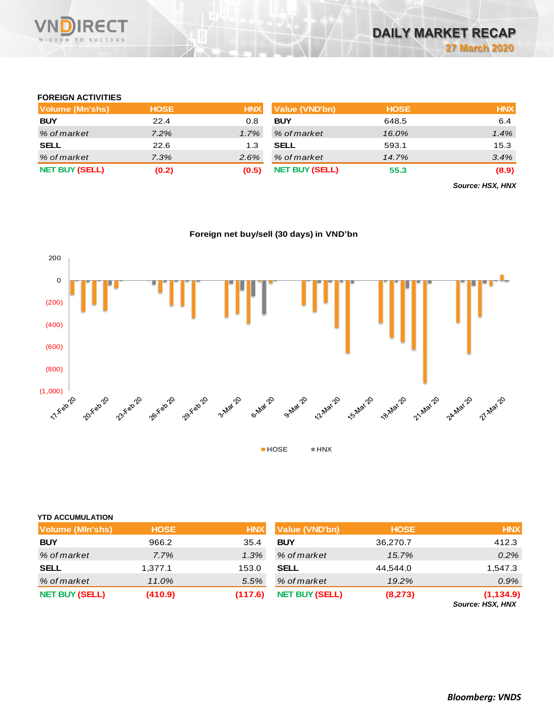

### **FOREIGN ACTIVITIES**

| Volume (Mn'shs)       | <b>HOSE</b> | <b>HNX</b> | Value (VND'bn)        | <b>HOSE</b> | <b>HNX</b> |
|-----------------------|-------------|------------|-----------------------|-------------|------------|
| <b>BUY</b>            | 22.4        | 0.8        | <b>BUY</b>            | 648.5       | 6.4        |
| % of market           | 7.2%        | 1.7%       | % of market           | 16.0%       | 1.4%       |
| <b>SELL</b>           | 22.6        | 1.3        | <b>SELL</b>           | 593.1       | 15.3       |
| % of market           | 7.3%        | $2.6\%$    | % of market           | 14.7%       | 3.4%       |
| <b>NET BUY (SELL)</b> | (0.2)       | (0.5)      | <b>NET BUY (SELL)</b> | 55.3        | (8.9)      |

*Source: HSX, HNX*

### **Foreign net buy/sell (30 days) in VND'bn**



#### **YTD ACCUMULATION**

| <b>Volume (MIn'shs)</b> | <b>HOSE</b> | <b>HNX</b> | <b>Value (VND'bn)</b> | <b>HOSE</b> | <b>HNX</b>                     |
|-------------------------|-------------|------------|-----------------------|-------------|--------------------------------|
| <b>BUY</b>              | 966.2       | 35.4       | <b>BUY</b>            | 36,270.7    | 412.3                          |
| % of market             | $7.7\%$     | $1.3\%$    | % of market           | 15.7%       | $0.2\%$                        |
| <b>SELL</b>             | 1,377.1     | 153.0      | <b>SELL</b>           | 44.544.0    | 1,547.3                        |
| % of market             | 11.0%       | 5.5%       | % of market           | 19.2%       | $0.9\%$                        |
| <b>NET BUY (SELL)</b>   | (410.9)     | (117.6)    | <b>NET BUY (SELL)</b> | (8, 273)    | (1, 134.9)<br>Source: HSX, HNX |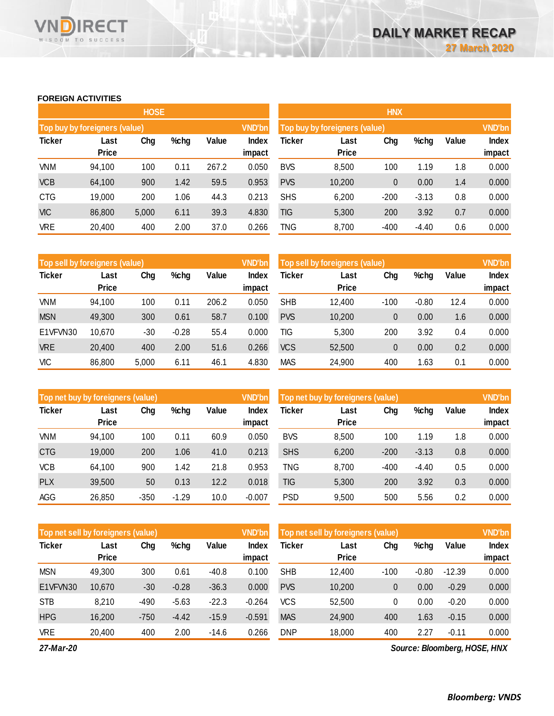#### **FOREIGN ACTIVITIES**

WISDOM TO SUCCESS

**VN** 

RECT

|               |                               | <b>HOSE</b> |      |       |                 | <b>HNX</b>                    |               |        |         |       |                 |  |
|---------------|-------------------------------|-------------|------|-------|-----------------|-------------------------------|---------------|--------|---------|-------|-----------------|--|
|               | Top buy by foreigners (value) |             |      |       | <b>VND'bn</b>   | Top buy by foreigners (value) |               |        |         |       |                 |  |
| <b>Ticker</b> | Last<br><b>Price</b>          | Chg         | %chg | Value | Index<br>impact | Ticker                        | Last<br>Price | Chg    | %chg    | Value | Index<br>impact |  |
| <b>VNM</b>    | 94,100                        | 100         | 0.11 | 267.2 | 0.050           | <b>BVS</b>                    | 8,500         | 100    | 1.19    | 1.8   | 0.000           |  |
| <b>VCB</b>    | 64,100                        | 900         | 1.42 | 59.5  | 0.953           | <b>PVS</b>                    | 10,200        | 0      | 0.00    | 1.4   | 0.000           |  |
| <b>CTG</b>    | 19,000                        | 200         | 1.06 | 44.3  | 0.213           | <b>SHS</b>                    | 6,200         | $-200$ | $-3.13$ | 0.8   | 0.000           |  |
| <b>VIC</b>    | 86,800                        | 5,000       | 6.11 | 39.3  | 4.830           | <b>TIG</b>                    | 5,300         | 200    | 3.92    | 0.7   | 0.000           |  |
| <b>VRE</b>    | 20,400                        | 400         | 2.00 | 37.0  | 0.266           | TNG                           | 8,700         | $-400$ | $-4.40$ | 0.6   | 0.000           |  |

| Top sell by foreigners (value) |              |       |         |       | <b>VND'bn</b> | Top sell by foreigners (value), |              | <b>VND'bn</b> |         |       |        |
|--------------------------------|--------------|-------|---------|-------|---------------|---------------------------------|--------------|---------------|---------|-------|--------|
| <b>Ticker</b>                  | Last         | Chg   | %chg    | Value | <b>Index</b>  | Ticker                          | Last         | Chg           | %chg    | Value | Index  |
|                                | <b>Price</b> |       |         |       | impact        |                                 | <b>Price</b> |               |         |       | impact |
| VNM                            | 94.100       | 100   | 0.11    | 206.2 | 0.050         | <b>SHB</b>                      | 12,400       | $-100$        | $-0.80$ | 12.4  | 0.000  |
| <b>MSN</b>                     | 49,300       | 300   | 0.61    | 58.7  | 0.100         | <b>PVS</b>                      | 10,200       | 0             | 0.00    | 1.6   | 0.000  |
| E1VFVN30                       | 10,670       | -30   | $-0.28$ | 55.4  | 0.000         | TIG                             | 5,300        | 200           | 3.92    | 0.4   | 0.000  |
| <b>VRE</b>                     | 20,400       | 400   | 2.00    | 51.6  | 0.266         | <b>VCS</b>                      | 52,500       | 0             | 0.00    | 0.2   | 0.000  |
| <b>VIC</b>                     | 86,800       | 5,000 | 6.11    | 46.1  | 4.830         | <b>MAS</b>                      | 24,900       | 400           | 1.63    | 0.1   | 0.000  |

|               | Top net buy by foreigners (value) |        |         |       | <b>VND'bn</b> | Top net buy by foreigners (value) |              | <b>VND'bn</b> |         |       |        |
|---------------|-----------------------------------|--------|---------|-------|---------------|-----------------------------------|--------------|---------------|---------|-------|--------|
| <b>Ticker</b> | Last                              | Chg    | %chg    | Value | Index         | Ticker                            | Last         | Chg           | %chg    | Value | Index  |
|               | <b>Price</b>                      |        |         |       | impact        |                                   | <b>Price</b> |               |         |       | impact |
| VNM           | 94,100                            | 100    | 0.11    | 60.9  | 0.050         | <b>BVS</b>                        | 8,500        | 100           | 1.19    | 1.8   | 0.000  |
| <b>CTG</b>    | 19,000                            | 200    | 1.06    | 41.0  | 0.213         | <b>SHS</b>                        | 6,200        | $-200$        | $-3.13$ | 0.8   | 0.000  |
| <b>VCB</b>    | 64,100                            | 900    | 1.42    | 21.8  | 0.953         | TNG                               | 8,700        | $-400$        | $-4.40$ | 0.5   | 0.000  |
| <b>PLX</b>    | 39,500                            | 50     | 0.13    | 12.2  | 0.018         | TIG                               | 5,300        | 200           | 3.92    | 0.3   | 0.000  |
| AGG           | 26,850                            | $-350$ | $-1.29$ | 10.0  | $-0.007$      | <b>PSD</b>                        | 9,500        | 500           | 5.56    | 0.2   | 0.000  |

|               | <b>VND'bn</b><br>Top net sell by foreigners (value) |        |         |         |                 |            | Top net sell by foreigners (value) |        |         |          |                 |
|---------------|-----------------------------------------------------|--------|---------|---------|-----------------|------------|------------------------------------|--------|---------|----------|-----------------|
| <b>Ticker</b> | Last<br><b>Price</b>                                | Chg    | %chg    | Value   | Index<br>impact | Ticker     | Last<br><b>Price</b>               | Chg    | %chg    | Value    | Index<br>impact |
|               |                                                     |        |         |         |                 |            |                                    |        |         |          |                 |
| <b>MSN</b>    | 49,300                                              | 300    | 0.61    | $-40.8$ | 0.100           | <b>SHB</b> | 12,400                             | $-100$ | $-0.80$ | $-12.39$ | 0.000           |
| E1VFVN30      | 10,670                                              | $-30$  | $-0.28$ | $-36.3$ | 0.000           | <b>PVS</b> | 10,200                             | 0      | 0.00    | $-0.29$  | 0.000           |
| <b>STB</b>    | 8.210                                               | $-490$ | $-5.63$ | $-22.3$ | $-0.264$        | <b>VCS</b> | 52.500                             | 0      | 0.00    | $-0.20$  | 0.000           |
| <b>HPG</b>    | 16,200                                              | $-750$ | $-4.42$ | $-15.9$ | $-0.591$        | <b>MAS</b> | 24.900                             | 400    | 1.63    | $-0.15$  | 0.000           |
| <b>VRE</b>    | 20.400                                              | 400    | 2.00    | $-14.6$ | 0.266           | <b>DNP</b> | 18,000                             | 400    | 2.27    | $-0.11$  | 0.000           |

*27-Mar-20*

*Source: Bloomberg, HOSE, HNX*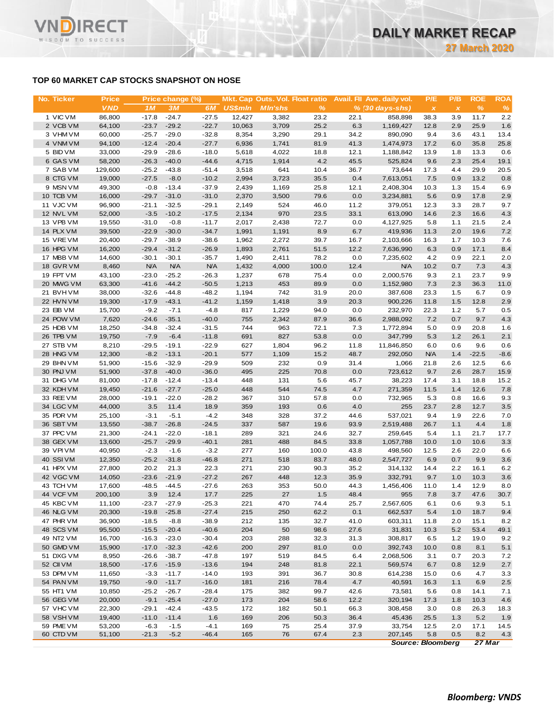# **TOP 60 MARKET CAP STOCKS SNAPSHOT ON HOSE**

**RECT** 

WISDOM TO SUCCESS

Vľ

| No. Ticker             | <b>Price</b>     |                   | Price change (%)  |                   |                | Mkt. Cap Outs. Vol. Float ratio |              |             | Avail. Fil Ave. daily vol. | P/E            | P/B          | <b>ROE</b>  | <b>ROA</b>  |
|------------------------|------------------|-------------------|-------------------|-------------------|----------------|---------------------------------|--------------|-------------|----------------------------|----------------|--------------|-------------|-------------|
|                        | <b>VND</b>       | 1 <sub>M</sub>    | 3M                | 6M                | <b>US\$mln</b> | <b>MIn'shs</b>                  | $\%$         |             | $% (30 days-shs)$          | $\pmb{\times}$ | $\pmb{\chi}$ | $\%$        | %           |
| 1 VIC VM               | 86,800           | $-17.8$           | $-24.7$           | $-27.5$           | 12,427         | 3,382                           | 23.2         | 22.1        | 858,898                    | 38.3           | 3.9          | 11.7        | 2.2         |
| 2 VCB VM               | 64,100           | $-23.7$           | $-29.2$           | $-22.7$           | 10,063         | 3,709                           | 25.2         | 6.3         | 1,169,427                  | 12.8           | 2.9          | 25.9        | 1.6         |
| 3 VHM VM               | 60,000           | $-25.7$           | $-29.0$           | $-32.8$           | 8,354          | 3,290                           | 29.1         | 34.2        | 890,090                    | 9.4            | 3.6          | 43.1        | 13.4        |
| 4 VNM VM               | 94,100           | $-12.4$           | $-20.4$           | $-27.7$           | 6,936          | 1,741                           | 81.9         | 41.3        | 1,474,973                  | 17.2           | 6.0          | 35.8        | 25.8        |
| 5 BID VM               | 33,000           | $-29.9$           | $-28.6$           | $-18.0$           | 5,618          | 4,022                           | 18.8         | 12.1        | 1,188,842                  | 13.9           | 1.8          | 13.3        | 0.6         |
| 6 GAS VM               | 58,200           | $-26.3$           | $-40.0$           | $-44.6$           | 4,715          | 1,914                           | 4.2          | 45.5        | 525,824                    | 9.6            | 2.3          | 25.4        | 19.1        |
| 7 SAB VM               | 129,600          | $-25.2$           | $-43.8$           | $-51.4$           | 3,518          | 641                             | 10.4         | 36.7        | 73,644                     | 17.3           | 4.4          | 29.9        | 20.5        |
| 8 CTG VM               | 19,000           | $-27.5$           | $-8.0$            | $-10.2$           | 2,994          | 3,723                           | 35.5         | 0.4         | 7,613,051                  | 7.5            | 0.9          | 13.2        | 0.8         |
| 9 MSN VM               | 49,300           | $-0.8$            | $-13.4$           | $-37.9$           | 2,439          | 1,169                           | 25.8         | 12.1        | 2,408,304                  | 10.3           | 1.3          | 15.4        | 6.9         |
| 10 TCB VM              | 16,000           | $-29.7$           | $-31.0$           | $-31.0$           | 2,370          | 3,500                           | 79.6         | 0.0         | 3,234,881                  | 5.6            | 0.9          | 17.8        | 2.9         |
| 11 VJC VM              | 96,900           | $-21.1$           | $-32.5$           | $-29.1$           | 2,149          | 524                             | 46.0         | 11.2        | 379,051                    | 12.3           | 3.3          | 28.7        | 9.7         |
| 12 NVL VM              | 52,000           | $-3.5$            | $-10.2$           | $-17.5$           | 2,134          | 970                             | 23.5         | 33.1        | 613,090                    | 14.6           | 2.3          | 16.6        | 4.3         |
| 13 VPB VM              | 19,550           | $-31.0$           | $-0.8$            | $-11.7$           | 2,017          | 2,438                           | 72.7         | 0.0         | 4,127,925                  | 5.8            | 1.1          | 21.5        | 2.4         |
| 14 PLX VM              | 39,500           | $-22.9$           | $-30.0$           | $-34.7$           | 1,991          | 1,191                           | 8.9          | 6.7         | 419,936                    | 11.3           | 2.0          | 19.6        | 7.2         |
| 15 VRE VM              | 20,400           | $-29.7$           | $-38.9$           | $-38.6$           | 1,962          | 2,272                           | 39.7         | 16.7        | 2,103,666                  | 16.3           | 1.7          | 10.3        | 7.6         |
| 16 HPG VM              | 16,200           | $-29.4$           | $-31.2$           | $-26.9$           | 1,893          | 2,761                           | 51.5         | 12.2        | 7,636,990                  | 6.3            | 0.9          | 17.1        | 8.4         |
| 17 MBB VM              | 14,600           | $-30.1$           | $-30.1$           | $-35.7$           | 1,490          | 2,411                           | 78.2         | 0.0         | 7,235,602                  | 4.2            | 0.9          | 22.1        | 2.0         |
| 18 GVR VM              | 8,460            | <b>N/A</b>        | <b>N/A</b>        | <b>N/A</b>        | 1,432          | 4,000                           | 100.0        | 12.4        | <b>N/A</b>                 | 10.2           | 0.7          | 7.3         | 4.3         |
| 19 FPT VM              | 43,100           | $-23.0$           | $-25.2$           | $-26.3$           | 1,237          | 678                             | 75.4         | 0.0         | 2,000,576                  | 9.3            | 2.1          | 23.7        | 9.9         |
| 20 MWG VM<br>21 BVHVM  | 63,300           | $-41.6$           | $-44.2$           | $-50.5$           | 1,213          | 453                             | 89.9         | 0.0         | 1,152,980                  | 7.3            | 2.3          | 36.3        | 11.0        |
|                        | 38,000           | $-32.6$           | $-44.8$           | $-48.2$           | 1,194          | 742                             | 31.9<br>3.9  | 20.0        | 387,608                    | 23.3           | 1.5          | 6.7<br>12.8 | 0.9         |
| 22 HVN VM<br>23 EIB VM | 19,300<br>15,700 | $-17.9$<br>$-9.2$ | $-43.1$<br>$-7.1$ | $-41.2$<br>$-4.8$ | 1,159<br>817   | 1,418<br>1,229                  | 94.0         | 20.3<br>0.0 | 900,226<br>232,970         | 11.8           | 1.5<br>1.2   | 5.7         | 2.9<br>0.5  |
| 24 POW VM              | 7,620            | $-24.6$           | $-35.1$           | $-40.0$           | 755            | 2,342                           | 87.9         | 36.6        | 2,988,092                  | 22.3<br>7.2    | 0.7          | 9.7         | 4.3         |
| 25 HDB VM              | 18,250           | $-34.8$           | $-32.4$           | $-31.5$           | 744            | 963                             | 72.1         | 7.3         | 1,772,894                  | 5.0            | 0.9          | 20.8        | 1.6         |
| 26 TPB VM              | 19,750           | $-7.9$            | $-6.4$            | $-11.8$           | 691            | 827                             | 53.8         | 0.0         | 347,799                    | 5.3            | 1.2          | 26.1        | 2.1         |
| 27 STB VM              | 8,210            | $-29.5$           | $-19.1$           | $-22.9$           | 627            | 1,804                           | 96.2         | 11.8        | 11,846,850                 | 6.0            | 0.6          | 9.6         | 0.6         |
| 28 HNG VM              | 12,300           | $-8.2$            | $-13.1$           | $-20.1$           | 577            | 1,109                           | 15.2         | 48.7        | 292,050                    | <b>N/A</b>     | 1.4          | $-22.5$     | $-8.6$      |
| 29 BHN VM              | 51,900           | $-15.6$           | $-32.9$           | $-29.9$           | 509            | 232                             | 0.9          | 31.4        | 1,066                      | 21.8           | 2.6          | 12.5        | 6.6         |
| 30 PNJ VM              | 51,900           | $-37.8$           | $-40.0$           | $-36.0$           | 495            | 225                             | 70.8         | 0.0         | 723,612                    | 9.7            | 2.6          | 28.7        | 15.9        |
| 31 DHG VM              | 81,000           | $-17.8$           | $-12.4$           | $-13.4$           | 448            | 131                             | 5.6          | 45.7        | 38,223                     | 17.4           | 3.1          | 18.8        | 15.2        |
| 32 KDH VM              | 19,450           | $-21.6$           | $-27.7$           | $-25.0$           | 448            | 544                             | 74.5         | 4.7         | 271,359                    | 11.5           | 1.4          | 12.6        | 7.8         |
| 33 REE VM              | 28,000           | $-19.1$           | $-22.0$           | $-28.2$           | 367            | 310                             | 57.8         | 0.0         | 732,965                    | 5.3            | 0.8          | 16.6        | 9.3         |
| 34 LGC VM              | 44,000           | 3.5               | 11.4              | 18.9              | 359            | 193                             | 0.6          | 4.0         | 255                        | 23.7           | 2.8          | 12.7        | 3.5         |
| 35 PDR VM              | 25,100           | $-3.1$            | $-5.1$            | $-4.2$            | 348            | 328                             | 37.2         | 44.6        | 537,021                    | 9.4            | 1.9          | 22.6        | 7.0         |
| 36 SBT VM              | 13,550           | $-38.7$           | $-26.8$           | $-24.5$           | 337            | 587                             | 19.6         | 93.9        | 2,519,488                  | 26.7           | 1.1          | 4.4         | 1.8         |
| 37 PPC VM              | 21,300           | $-24.1$           | $-22.0$           | $-18.1$           | 289            | 321                             | 24.6         | 32.7        | 259,645                    | 5.4            | 1.1          | 21.7        | 17.7        |
| 38 GEX VM              | 13,600           | $-25.7$           | $-29.9$           | $-40.1$           | 281            | 488                             | 84.5         | 33.8        | 1,057,788                  | 10.0           | 1.0          | 10.6        | 3.3         |
| 39 VPI VM              | 40,950           | $-2.3$            | $-1.6$            | $-3.2$            | 277            | 160                             | 100.0        | 43.8        | 498,560                    | 12.5           | 2.6          | 22.0        | 6.6         |
| 40 SSIVM               | 12,350           | $-25.2$           | $-31.8$           | $-46.8$           | 271            | 518                             | 83.7         | 48.0        | 2,547,727                  | 6.9            | 0.7          | 9.9         | 3.6         |
| 41 HPX VM              | 27,800           | 20.2              | 21.3              | 22.3              | 271            | 230                             | 90.3         | 35.2        | 314,132                    | 14.4           | $2.2\,$      | 16.1        | $6.2\,$     |
| 42 VGC VM              | 14,050           | $-23.6$           | $-21.9$           | $-27.2$           | 267            | 448                             | 12.3         | 35.9        | 332,791                    | 9.7            | 1.0          | 10.3        | 3.6         |
| 43 TCH VM              | 17,600           | $-48.5$           | $-44.5$           | $-27.6$           | 263            | 353                             | 50.0         | 44.3        | 1,456,406                  | 11.0           | 1.4          | 12.9        | 8.0         |
| 44 VCF VM              | 200,100          | 3.9               | 12.4              | 17.7              | 225            | 27                              | 1.5          | 48.4        | 955                        | 7.8            | 3.7          | 47.6        | 30.7        |
| 45 KBC VM              | 11,100           | $-23.7$           | $-27.9$           | $-25.3$           | 221            | 470                             | 74.4         | 25.7        | 2,567,605                  | 6.1            | 0.6          | 9.3         | 5.1         |
| 46 NLG VM              | 20,300           | $-19.8$           | $-25.8$           | $-27.4$           | 215            | 250                             | 62.2         | 0.1         | 662,537                    | 5.4            | 1.0          | 18.7        | 9.4         |
| 47 PHR VM              | 36,900           | $-18.5$           | $-8.8$            | $-38.9$           | 212            | 135                             | 32.7         | 41.0        | 603,311                    | 11.8           | 2.0          | 15.1        | 8.2         |
| 48 SCS VM              | 95,500           | $-15.5$           | $-20.4$           | $-40.6$           | 204            | 50                              | 98.6         | 27.6        | 31,831                     | 10.3           | 5.2          | 53.4        | 49.1        |
| 49 NT2 VM              | 16,700           | $-16.3$           | $-23.0$           | $-30.4$           | 203            | 288                             | 32.3         | 31.3        | 308,817                    | 6.5            | $1.2$        | 19.0        | 9.2         |
| 50 GMD VM              | 15,900           | $-17.0$           | $-32.3$           | $-42.6$           | 200            | 297                             | 81.0         | 0.0         | 392,743                    | 10.0           | 0.8          | 8.1         | 5.1         |
| 51 DXG VM              | 8,950            | $-26.6$           | $-38.7$           | $-47.8$           | 197            | 519                             | 84.5         | 6.4         | 2,068,506                  | 3.1            | 0.7          | 20.3        | 7.2         |
| 52 CII VM              | 18,500           | $-17.6$           | $-15.9$           | $-13.6$           | 194            | 248                             | 81.8         | 22.1        | 569,574                    | 6.7            | 0.8          | 12.9        | 2.7         |
| 53 DPM VM              | 11,650           | $-3.3$            | $-11.7$           | $-14.0$           | 193            | 391                             | 36.7         | 30.8        | 614,238                    | 15.0           | 0.6          | 4.7         | 3.3         |
| 54 PAN VM              | 19,750           | $-9.0$            | $-11.7$           | $-16.0$           | 181            | 216                             | 78.4         | 4.7         | 40,591                     | 16.3           | 1.1          | 6.9         | 2.5         |
| 55 HT1 VM              | 10,850           | $-25.2$           | $-26.7$           | $-28.4$           | 175            | 382                             | 99.7         | 42.6        | 73,581                     | 5.6            | 0.8          | 14.1        | 7.1         |
| 56 GEG VM              | 20,000           | $-9.1$            | $-25.4$           | $-27.0$           | 173            | 204                             | 58.6         | 12.2        | 320,194                    | 17.3           | 1.8          | 10.3        | 4.6         |
| 57 VHC VM              | 22,300           | $-29.1$           | $-42.4$           | $-43.5$           | 172            | 182                             | 50.1         | 66.3        | 308,458                    | 3.0            | 0.8          | 26.3        | 18.3        |
| 58 VSHVM               | 19,400           | $-11.0$           | $-11.4$           | 1.6               | 169            | 206<br>75                       | 50.3         | 36.4        | 45,436                     | 25.5           | 1.3          | 5.2         | 1.9         |
| 59 PME VM<br>60 CTD VM | 53,200<br>51,100 | $-6.3$<br>$-21.3$ | $-1.5$<br>$-5.2$  | $-4.1$<br>$-46.4$ | 169<br>165     | 76                              | 25.4<br>67.4 | 37.9<br>2.3 | 33,754<br>207,145          | 12.5<br>5.8    | 2.0<br>0.5   | 17.1<br>8.2 | 14.5<br>4.3 |
|                        |                  |                   |                   |                   |                |                                 |              |             |                            |                |              |             |             |